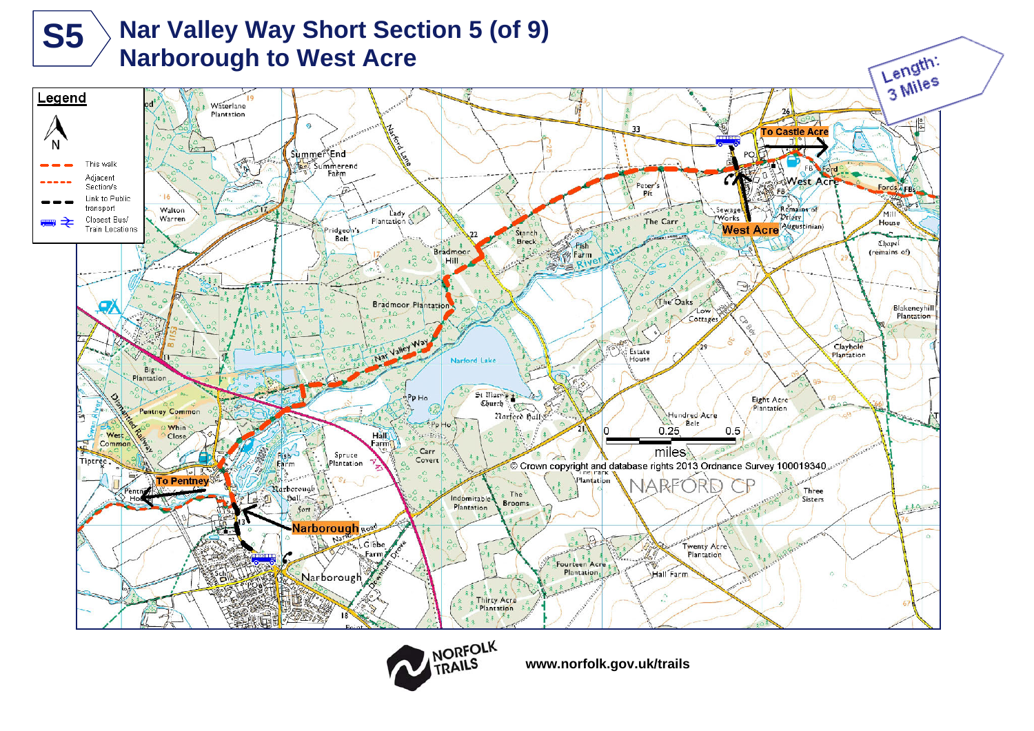



**www.norfolk.gov.uk/trails**